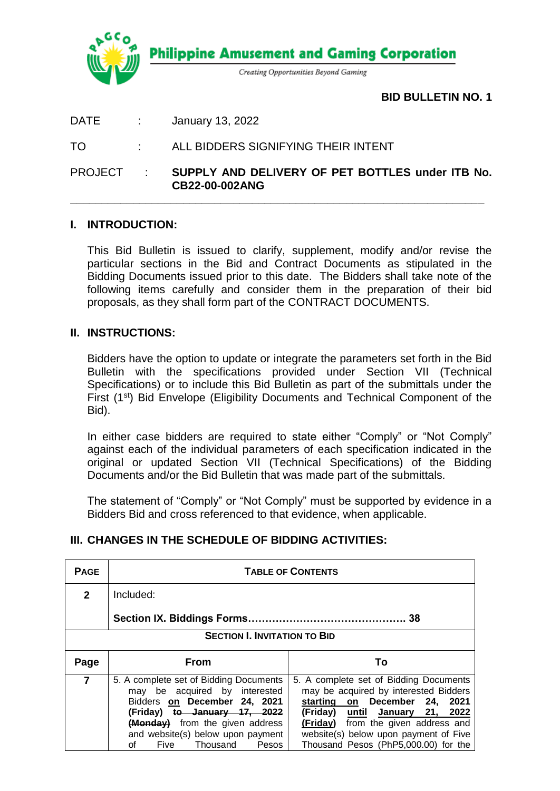

**BID BULLETIN NO. 1**

DATE : January 13, 2022

TO : ALL BIDDERS SIGNIFYING THEIR INTENT

PROJECT : **SUPPLY AND DELIVERY OF PET BOTTLES under ITB No. CB22-00-002ANG**

**\_\_\_\_\_\_\_\_\_\_\_\_\_\_\_\_\_\_\_\_\_\_\_\_\_\_\_\_\_\_\_\_\_\_\_\_\_\_\_\_\_\_\_\_\_\_\_\_\_\_\_\_\_\_\_\_\_\_\_\_\_\_\_\_\_\_**

## **I. INTRODUCTION:**

This Bid Bulletin is issued to clarify, supplement, modify and/or revise the particular sections in the Bid and Contract Documents as stipulated in the Bidding Documents issued prior to this date. The Bidders shall take note of the following items carefully and consider them in the preparation of their bid proposals, as they shall form part of the CONTRACT DOCUMENTS.

### **II. INSTRUCTIONS:**

Bidders have the option to update or integrate the parameters set forth in the Bid Bulletin with the specifications provided under Section VII (Technical Specifications) or to include this Bid Bulletin as part of the submittals under the First (1st) Bid Envelope (Eligibility Documents and Technical Component of the Bid).

In either case bidders are required to state either "Comply" or "Not Comply" against each of the individual parameters of each specification indicated in the original or updated Section VII (Technical Specifications) of the Bidding Documents and/or the Bid Bulletin that was made part of the submittals.

The statement of "Comply" or "Not Comply" must be supported by evidence in a Bidders Bid and cross referenced to that evidence, when applicable.

## **III. CHANGES IN THE SCHEDULE OF BIDDING ACTIVITIES:**

| <b>PAGE</b>                         | <b>TABLE OF CONTENTS</b>                                                                                                                                                                                                                        |                                                                                                                                                                                                                                                                             |  |  |  |
|-------------------------------------|-------------------------------------------------------------------------------------------------------------------------------------------------------------------------------------------------------------------------------------------------|-----------------------------------------------------------------------------------------------------------------------------------------------------------------------------------------------------------------------------------------------------------------------------|--|--|--|
| $\mathbf{2}$                        | Included:                                                                                                                                                                                                                                       |                                                                                                                                                                                                                                                                             |  |  |  |
|                                     |                                                                                                                                                                                                                                                 |                                                                                                                                                                                                                                                                             |  |  |  |
| <b>SECTION I. INVITATION TO BID</b> |                                                                                                                                                                                                                                                 |                                                                                                                                                                                                                                                                             |  |  |  |
| Page                                | <b>From</b>                                                                                                                                                                                                                                     | Тο                                                                                                                                                                                                                                                                          |  |  |  |
| 7                                   | 5. A complete set of Bidding Documents<br>may be acquired by interested<br>Bidders on December 24, 2021<br>(Friday) to January 17, 2022<br>(Monday) from the given address<br>and website(s) below upon payment<br>Five Thousand<br>Pesos<br>οf | 5. A complete set of Bidding Documents<br>may be acquired by interested Bidders<br>starting on December 24, 2021<br>(Friday) until January 21, 2022<br>(Friday) from the given address and<br>website(s) below upon payment of Five<br>Thousand Pesos (PhP5,000.00) for the |  |  |  |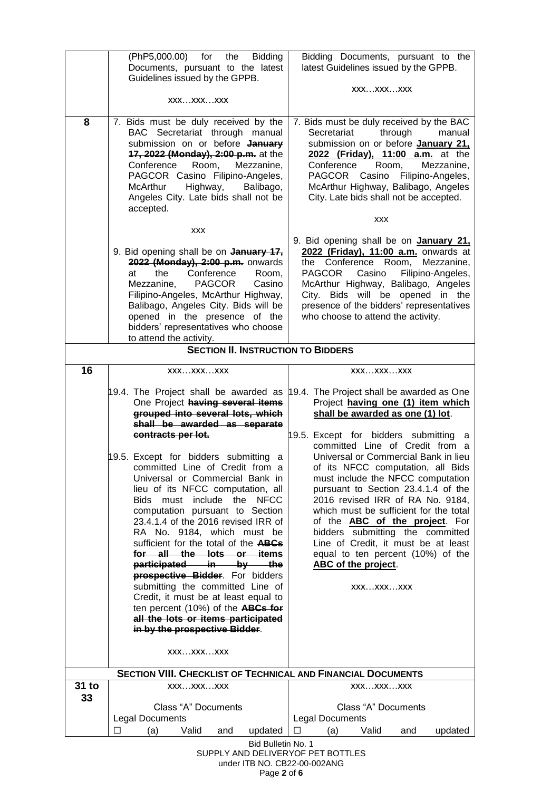|                                           | (PhP5,000.00) for<br>the<br><b>Bidding</b><br>Documents, pursuant to the latest                                                                                                                                                                                                                                                                                                                                                                                                                                                                                                                                                       | Bidding Documents, pursuant to the<br>latest Guidelines issued by the GPPB.                                                                                                                                                                                                                                                                                                                                                                                         |  |  |  |  |
|-------------------------------------------|---------------------------------------------------------------------------------------------------------------------------------------------------------------------------------------------------------------------------------------------------------------------------------------------------------------------------------------------------------------------------------------------------------------------------------------------------------------------------------------------------------------------------------------------------------------------------------------------------------------------------------------|---------------------------------------------------------------------------------------------------------------------------------------------------------------------------------------------------------------------------------------------------------------------------------------------------------------------------------------------------------------------------------------------------------------------------------------------------------------------|--|--|--|--|
|                                           | Guidelines issued by the GPPB.                                                                                                                                                                                                                                                                                                                                                                                                                                                                                                                                                                                                        |                                                                                                                                                                                                                                                                                                                                                                                                                                                                     |  |  |  |  |
|                                           | XXXXXXXXX                                                                                                                                                                                                                                                                                                                                                                                                                                                                                                                                                                                                                             | XXXXXXXXX                                                                                                                                                                                                                                                                                                                                                                                                                                                           |  |  |  |  |
| 8                                         | 7. Bids must be duly received by the<br>BAC Secretariat through manual<br>submission on or before January<br>17, 2022 (Monday), 2:00 p.m. at the<br>Conference<br>Room,<br>Mezzanine,<br>PAGCOR Casino Filipino-Angeles,<br>Highway,<br>McArthur<br>Balibago,<br>Angeles City. Late bids shall not be<br>accepted.                                                                                                                                                                                                                                                                                                                    | 7. Bids must be duly received by the BAC<br>Secretariat<br>through<br>manual<br>submission on or before January 21,<br>2022 (Friday), 11:00 a.m. at the<br>Room,<br>Mezzanine,<br>Conference<br>PAGCOR<br>Casino Filipino-Angeles,<br>McArthur Highway, Balibago, Angeles<br>City. Late bids shall not be accepted.                                                                                                                                                 |  |  |  |  |
|                                           | <b>XXX</b>                                                                                                                                                                                                                                                                                                                                                                                                                                                                                                                                                                                                                            | <b>XXX</b>                                                                                                                                                                                                                                                                                                                                                                                                                                                          |  |  |  |  |
|                                           | 9. Bid opening shall be on January 17,<br>2022 (Monday), 2:00 p.m. onwards<br>Conference<br>the<br>Room,<br>at<br><b>PAGCOR</b><br>Casino<br>Mezzanine,<br>Filipino-Angeles, McArthur Highway,<br>Balibago, Angeles City. Bids will be<br>opened in the presence of the<br>bidders' representatives who choose<br>to attend the activity.                                                                                                                                                                                                                                                                                             | 9. Bid opening shall be on <b>January 21,</b><br>2022 (Friday), 11:00 a.m. onwards at<br>the Conference Room,<br>Mezzanine,<br>Filipino-Angeles,<br><b>PAGCOR</b><br>Casino<br>McArthur Highway, Balibago, Angeles<br>City. Bids will be opened in the<br>presence of the bidders' representatives<br>who choose to attend the activity.                                                                                                                            |  |  |  |  |
| <b>SECTION II. INSTRUCTION TO BIDDERS</b> |                                                                                                                                                                                                                                                                                                                                                                                                                                                                                                                                                                                                                                       |                                                                                                                                                                                                                                                                                                                                                                                                                                                                     |  |  |  |  |
| 16                                        | XXXXXXXXX                                                                                                                                                                                                                                                                                                                                                                                                                                                                                                                                                                                                                             | XXXXXXXXX                                                                                                                                                                                                                                                                                                                                                                                                                                                           |  |  |  |  |
|                                           | One Project having several items<br>grouped into several lots, which<br>shall be awarded as separate<br>contracts per lot.                                                                                                                                                                                                                                                                                                                                                                                                                                                                                                            | 19.4. The Project shall be awarded as 19.4. The Project shall be awarded as One<br>Project having one (1) item which<br>shall be awarded as one (1) lot.<br>19.5. Except for bidders submitting<br>a                                                                                                                                                                                                                                                                |  |  |  |  |
|                                           | 19.5. Except for bidders submitting a<br>committed Line of Credit from a<br>Universal or Commercial Bank in<br>lieu of its NFCC computation, all<br>Bids must include the NFCC<br>computation pursuant to Section<br>23.4.1.4 of the 2016 revised IRR of<br>RA No. 9184, which must be<br>sufficient for the total of the ABCs<br>for all the lots or items<br>participated in by the<br><b>prospective Bidder</b> . For bidders<br>submitting the committed Line of<br>Credit, it must be at least equal to<br>ten percent (10%) of the ABCs for<br>all the lots or items participated<br>in by the prospective Bidder.<br>XXXXXXXXX | committed Line of Credit from a<br>Universal or Commercial Bank in lieu<br>of its NFCC computation, all Bids<br>must include the NFCC computation<br>pursuant to Section 23.4.1.4 of the<br>2016 revised IRR of RA No. 9184,<br>which must be sufficient for the total<br>of the <b>ABC</b> of the project. For<br>bidders submitting the committed<br>Line of Credit, it must be at least<br>equal to ten percent (10%) of the<br>ABC of the project.<br>XXXXXXXXX |  |  |  |  |
| 31 to                                     | <b>SECTION VIII. CHECKLIST OF TECHNICAL AND FINANCIAL DOCUMENTS</b><br>XXXXXXXXX                                                                                                                                                                                                                                                                                                                                                                                                                                                                                                                                                      | XXXXXXXXX                                                                                                                                                                                                                                                                                                                                                                                                                                                           |  |  |  |  |
| 33                                        | Class "A" Documents<br><b>Legal Documents</b><br>П<br>(a)<br>Valid<br>and                                                                                                                                                                                                                                                                                                                                                                                                                                                                                                                                                             | Class "A" Documents<br><b>Legal Documents</b><br>(a)<br>Valid<br>П<br>and                                                                                                                                                                                                                                                                                                                                                                                           |  |  |  |  |
|                                           | updated<br>updated<br>Bid Bulletin No. 1<br>SUPPLY AND DELIVERYOF PET BOTTLES                                                                                                                                                                                                                                                                                                                                                                                                                                                                                                                                                         |                                                                                                                                                                                                                                                                                                                                                                                                                                                                     |  |  |  |  |

under ITB NO. CB22-00-002ANG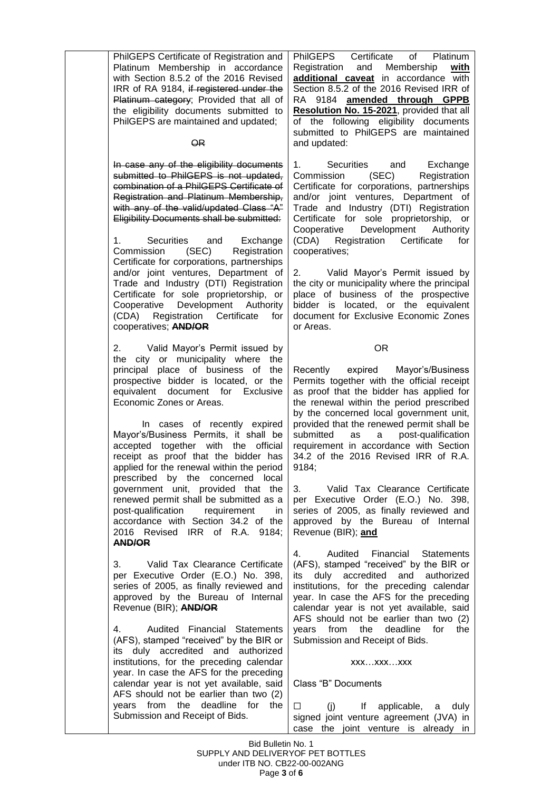| PhilGEPS Certificate of Registration and<br>Platinum Membership in accordance<br>with Section 8.5.2 of the 2016 Revised<br>IRR of RA 9184, if registered under the<br>Platinum category; Provided that all of<br>the eligibility documents submitted to<br>PhilGEPS are maintained and updated;<br><b>OR</b>                                                                                                                                                                                                                                                                                                                                                           | PhilGEPS Certificate<br>of Platinum<br>Registration and Membership<br>with<br>additional caveat in accordance with<br>Section 8.5.2 of the 2016 Revised IRR of<br>RA 9184 amended through GPPB<br>Resolution No. 15-2021, provided that all<br>of the following eligibility documents<br>submitted to PhilGEPS are maintained<br>and updated:                                                                                                                                                                                                                                                                |
|------------------------------------------------------------------------------------------------------------------------------------------------------------------------------------------------------------------------------------------------------------------------------------------------------------------------------------------------------------------------------------------------------------------------------------------------------------------------------------------------------------------------------------------------------------------------------------------------------------------------------------------------------------------------|--------------------------------------------------------------------------------------------------------------------------------------------------------------------------------------------------------------------------------------------------------------------------------------------------------------------------------------------------------------------------------------------------------------------------------------------------------------------------------------------------------------------------------------------------------------------------------------------------------------|
| In case any of the eligibility documents<br>submitted to PhilGEPS is not updated,<br>combination of a PhilGEPS Certificate of<br>Registration and Platinum Membership,<br>with any of the valid/updated Class "A"<br>Eligibility Documents shall be submitted:<br>Securities and Exchange<br>Commission<br>Registration<br>(SEC)<br>Certificate for corporations, partnerships<br>and/or joint ventures, Department of<br>Trade and Industry (DTI) Registration<br>Certificate for sole proprietorship, or<br>Cooperative Development Authority<br>(CDA) Registration Certificate<br>for<br>cooperatives; AND/OR                                                       | 1.<br>Securities and Exchange<br>Commission (SEC) Registration<br>Certificate for corporations, partnerships<br>and/or joint ventures, Department of<br>Trade and Industry (DTI) Registration<br>Certificate for sole proprietorship, or<br>Development<br>Cooperative<br>Authority<br>(CDA) Registration Certificate<br>for<br>cooperatives;<br>2. Valid Mayor's Permit issued by<br>the city or municipality where the principal<br>place of business of the prospective<br>bidder is located, or the equivalent<br>document for Exclusive Economic Zones<br>or Areas.                                     |
| 2. Valid Mayor's Permit issued by<br>the city or municipality where the<br>principal place of business of the<br>prospective bidder is located, or the<br>equivalent document for Exclusive<br>Economic Zones or Areas.<br>In cases of recently expired<br>Mayor's/Business Permits, it shall be<br>accepted together with the official<br>receipt as proof that the bidder has<br>applied for the renewal within the period<br>prescribed by the concerned local<br>government unit, provided that the<br>renewed permit shall be submitted as a<br>post-qualification<br>requirement<br>in.<br>accordance with Section 34.2 of the<br>2016 Revised IRR of R.A. 9184; | <b>OR</b><br>expired Mayor's/Business<br>Recently<br>Permits together with the official receipt<br>as proof that the bidder has applied for<br>the renewal within the period prescribed<br>by the concerned local government unit,<br>provided that the renewed permit shall be<br>submitted<br>as<br>a post-qualification<br>requirement in accordance with Section<br>34.2 of the 2016 Revised IRR of R.A.<br>9184;<br>3.<br>Valid Tax Clearance Certificate<br>per Executive Order (E.O.) No. 398,<br>series of 2005, as finally reviewed and<br>approved by the Bureau of Internal<br>Revenue (BIR); and |
| <b>AND/OR</b><br>Valid Tax Clearance Certificate<br>3.<br>per Executive Order (E.O.) No. 398,<br>series of 2005, as finally reviewed and<br>approved by the Bureau of Internal<br>Revenue (BIR); AND/OR<br>Audited Financial Statements<br>4.<br>(AFS), stamped "received" by the BIR or<br>its duly accredited and authorized<br>institutions, for the preceding calendar<br>year. In case the AFS for the preceding<br>calendar year is not yet available, said<br>AFS should not be earlier than two (2)<br>years from the deadline for the<br>Submission and Receipt of Bids.                                                                                      | 4.<br>Audited Financial Statements<br>(AFS), stamped "received" by the BIR or<br>its duly accredited and authorized<br>institutions, for the preceding calendar<br>year. In case the AFS for the preceding<br>calendar year is not yet available, said<br>AFS should not be earlier than two (2)<br>deadline<br>for<br>years<br>from<br>the<br>the<br>Submission and Receipt of Bids.<br>XXXXXXXXX<br>Class "B" Documents<br>(i)<br>If applicable, a<br>□<br>duly<br>signed joint venture agreement (JVA) in<br>case the joint venture is already in                                                         |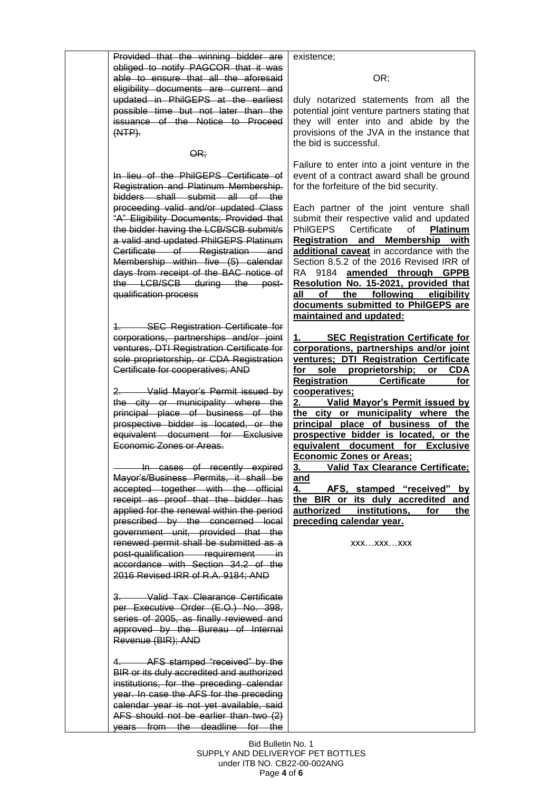Provided that the winning bidder are obliged to notify PAGCOR that it was able to ensure that all the aforesaid eligibility documents are current and updated in PhilGEPS at the earliest possible time but not later than the issuance of the Notice to Proceed (NTP).

### $QR:$

In lieu of the PhilGEPS Certificate of Registration and Platinum Membership. bidders shall submit all of the proceeding valid and/or updated Class "A" Eligibility Documents; Provided that the bidder having the LCB/SCB submit/s a valid and updated PhilGEPS Platinum Certificate of Registration and Membership within five (5) calendar days from receipt of the BAC notice of the LCB/SCB during the postqualification process

**SEC Registration Certificate for** corporations, partnerships and/or joint ventures, DTI Registration Certificate for sole proprietorship, or CDA Registration Certificate for cooperatives; AND

2. Valid Mayor's Permit issued by the city or municipality where the principal place of business of the prospective bidder is located, or the equivalent document for Exclusive Economic Zones or Areas.

 In cases of recently expired Mayor's/Business Permits, it shall be accepted together with the official receipt as proof that the bidder has applied for the renewal within the period prescribed by the concerned local government unit, provided that the renewed permit shall be submitted as a post-qualification requirement in accordance with Section 34.2 of the 2016 Revised IRR of R.A. 9184; AND

3. Valid Tax Clearance Certificate per Executive Order (E.O.) No. 398, series of 2005, as finally reviewed and approved by the Bureau of Internal Revenue (BIR); AND

AFS stamped "received" by the BIR or its duly accredited and authorized institutions, for the preceding calendar year. In case the AFS for the preceding calendar year is not yet available, said AFS should not be earlier than two (2) years from the deadline for the existence;

#### OR;

duly notarized statements from all the potential joint venture partners stating that they will enter into and abide by the provisions of the JVA in the instance that the bid is successful.

Failure to enter into a joint venture in the event of a contract award shall be ground for the forfeiture of the bid security.

Each partner of the joint venture shall submit their respective valid and updated PhilGEPS Certificate of **Platinum Registration and Membership with additional caveat** in accordance with the Section 8.5.2 of the 2016 Revised IRR of RA 9184 **amended through GPPB Resolution No. 15-2021, provided that all of the following eligibility documents submitted to PhilGEPS are maintained and updated:** 

**1. SEC Registration Certificate for corporations, partnerships and/or joint ventures; DTI Registration Certificate sole proprietorship; or CDA Registration Certificate for cooperatives;** 

**2. Valid Mayor's Permit issued by the city or municipality where the principal place of business of the prospective bidder is located, or the equivalent document for Exclusive Economic Zones or Areas;**

**3. Valid Tax Clearance Certificate; and**

**4. AFS, stamped "received" by the BIR or its duly accredited and authorized institutions, for the preceding calendar year.** 

xxx…xxx…xxx

Bid Bulletin No. 1 SUPPLY AND DELIVERYOF PET BOTTLES under ITB NO. CB22-00-002ANG Page **4** of **6**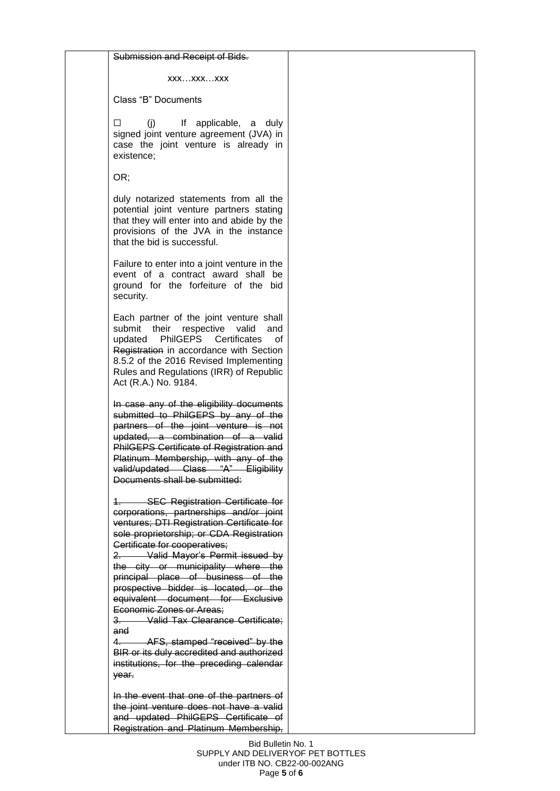#### Submission and Receipt of Bids.

xxx…xxx…xxx

Class "B" Documents

⬜ (j) If applicable, a duly signed joint venture agreement (JVA) in case the joint venture is already in existence;

OR;

duly notarized statements from all the potential joint venture partners stating that they will enter into and abide by the provisions of the JVA in the instance that the bid is successful.

Failure to enter into a joint venture in the event of a contract award shall be ground for the forfeiture of the bid security.

Each partner of the joint venture shall submit their respective valid and updated PhilGEPS Certificates of Registration in accordance with Section 8.5.2 of the 2016 Revised Implementing Rules and Regulations (IRR) of Republic Act (R.A.) No. 9184.

In case any of the eligibility documents submitted to PhilGEPS by any of the partners of the joint venture is not updated, a combination of a valid PhilGEPS Certificate of Registration and Platinum Membership, with any of the valid/updated Class "A" Eligibility Documents shall be submitted:

1. SEC Registration Certificate for corporations, partnerships and/or joint ventures; DTI Registration Certificate for sole proprietorship; or CDA Registration Certificate for cooperatives;

2. Valid Mayor's Permit issued by the city or municipality where the principal place of business of the prospective bidder is located, or the equivalent document for Exclusive Economic Zones or Areas;

3. Valid Tax Clearance Certificate; and

4. AFS, stamped "received" by the BIR or its duly accredited and authorized institutions, for the preceding calendar year.

In the event that one of the partners of the joint venture does not have a valid and updated PhilGEPS Certificate of Registration and Platinum Membership,